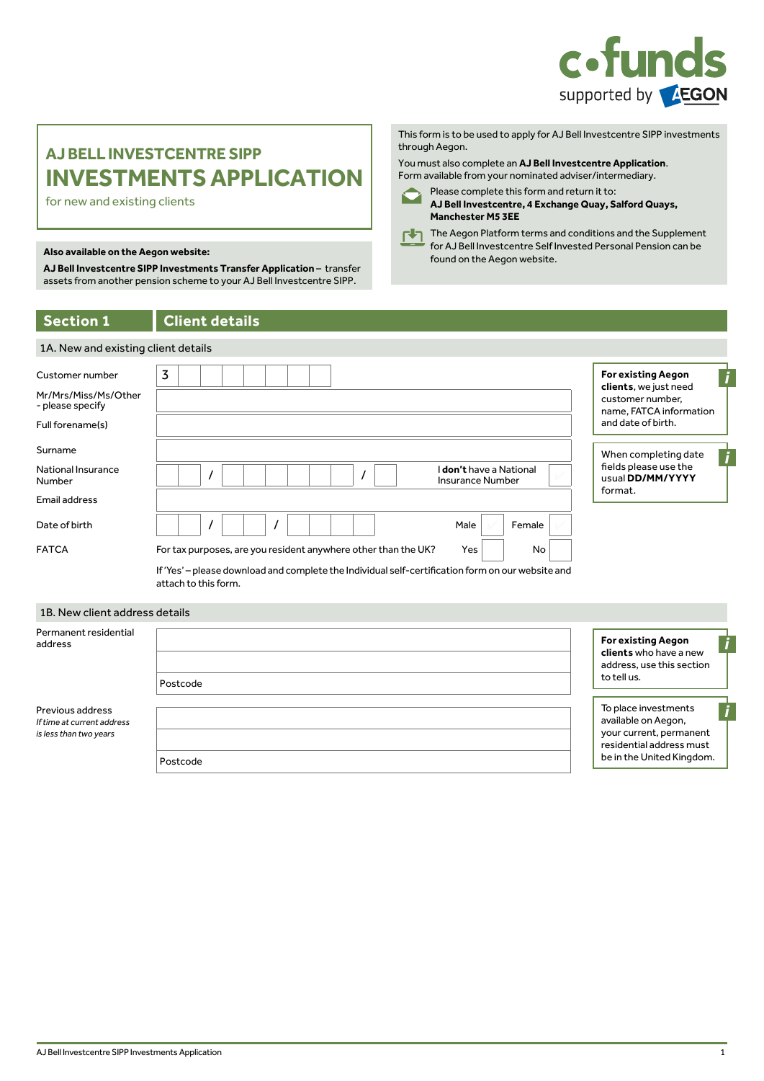

# **AJ BELL INVESTCENTRE SIPP INVESTMENTS APPLICATION**

for new and existing clients

## found on the Aegon website. **Also available on the Aegon website:**

**AJ Bell Investcentre SIPP Investments Transfer Application** – transfer assets from another pension scheme to your AJ Bell Investcentre SIPP.

### **Section 1 Client details**

| <b>Section 1</b>                                                                | <b>Client details</b>                                                                                                                                                                                    |                                                                                                                         |
|---------------------------------------------------------------------------------|----------------------------------------------------------------------------------------------------------------------------------------------------------------------------------------------------------|-------------------------------------------------------------------------------------------------------------------------|
| 1A. New and existing client details                                             |                                                                                                                                                                                                          |                                                                                                                         |
| Customer number<br>Mr/Mrs/Miss/Ms/Other<br>- please specify<br>Full forename(s) | 3                                                                                                                                                                                                        | <b>For existing Aegon</b><br>clients, we just need<br>customer number,<br>name, FATCA information<br>and date of birth. |
| Surname<br>National Insurance<br>Number                                         | l <b>don't</b> have a National<br><b>Insurance Number</b>                                                                                                                                                | When completing date<br>fields please use the<br>usual DD/MM/YYYY<br>format.                                            |
| Email address<br>Date of birth                                                  | Male<br>Female                                                                                                                                                                                           |                                                                                                                         |
| <b>FATCA</b>                                                                    | Yes<br>For tax purposes, are you resident anywhere other than the UK?<br>No<br>If 'Yes' - please download and complete the Individual self-certification form on our website and<br>attach to this form. |                                                                                                                         |

#### 1B. New client address details

| Permanent residential<br>address                                         | Postcode | <b>For existing Aegon</b><br>clients who have a new<br>address, use this section<br>to tell us.                                 |
|--------------------------------------------------------------------------|----------|---------------------------------------------------------------------------------------------------------------------------------|
| Previous address<br>If time at current address<br>is less than two years | Postcode | To place investments<br>available on Aegon,<br>your current, permanent<br>residential address must<br>be in the United Kingdom. |

You must also complete an **AJ Bell Investcentre Application**. Form available from your nominated adviser/intermediary.

Please complete this form and return it to:



**Manchester M5 3EE** The Aegon Platform terms and conditions and the Supplement for AJ Bell Investcentre Self Invested Personal Pension can be

**AJ Bell Investcentre, 4 Exchange Quay, Salford Quays,**